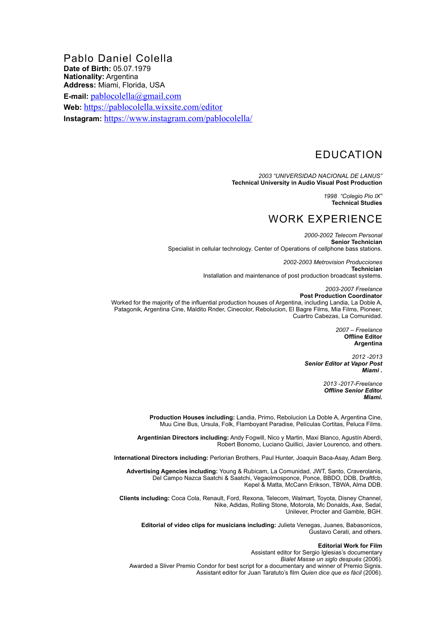Pablo Daniel Colella **Date of Birth:** 05.07.1979 **Nationality:** Argentina **Address:** Miami, Florida, USA **E-mail:** [pablocolella@gmail.com](mailto:pablocolella@gmail.com) **Web:** <https://pablocolella.wixsite.com/editor> **Instagram:** <https://www.instagram.com/pablocolella/>

# EDUCATION

*2003 "UNIVERSIDAD NACIONAL DE LANUS"* **Technical University in Audio Visual Post Production**

> *1998 "Colegio Pio IX"* **Technical Studies**

## WORK EXPERIENCE

*2000-2002 Telecom Personal* **Senior Technician**  Specialist in cellular technology. Center of Operations of cellphone bass stations.

> *2002-2003 Metrovision Producciones* **Technician** Installation and maintenance of post production broadcast systems.

> *2003-2007 Freelance*  **Post Production Coordinator**

Worked for the majority of the influential production houses of Argentina, including Landia, La Doble A, Patagonik, Argentina Cine, Maldito Rnder, Cinecolor, Rebolucion, El Bagre Films, Mia Films, Pioneer, Cuartro Cabezas, La Comunidad.

> *2007 – Freelance* **Offline Editor Argentina**

*2012 -2013 Senior Editor at Vapor Post Miami .* 

> *2013 -2017-Freelance Offline Senior Editor Miami.*

**Production Houses including:** Landia, Primo, Rebolucion La Doble A, Argentina Cine, Muu Cine Bus, Ursula, Folk, Flamboyant Paradise, Películas Cortitas, Peluca Films.

**Argentinian Directors including:** Andy Fogwill, Nico y Martin, Maxi Blanco, Agustín Aberdi, Robert Bonomo, Luciano Quillici, Javier Lourenco, and others.

**International Directors including:** Perlorian Brothers, Paul Hunter, Joaquin Baca-Asay, Adam Berg.

**Advertising Agencies including:** Young & Rubicam, La Comunidad, JWT, Santo, Craverolanis, Del Campo Nazca Saatchi & Saatchi, Vegaolmosponce, Ponce, BBDO, DDB, Draftfcb, Kepel & Matta, McCann Erikson, TBWA, Alma DDB.

**Clients including:** Coca Cola, Renault, Ford, Rexona, Telecom, Walmart, Toyota, Disney Channel, Nike, Adidas, Rolling Stone, Motorola, Mc Donalds, Axe, Sedal, Unilever, Procter and Gamble, BGH.

**Editorial of video clips for musicians including:** Julieta Venegas, Juanes, Babasonicos, Gustavo Cerati, and others.

### **Editorial Work for Film**

Assistant editor for Sergio Iglesias's documentary *Bialet Masse un siglo después* (2006). Awarded a Sliver Premio Condor for best script for a documentary and winner of Premio Signis. Assistant editor for Juan Taratuto's film *Quien dice que es fácil* (2006).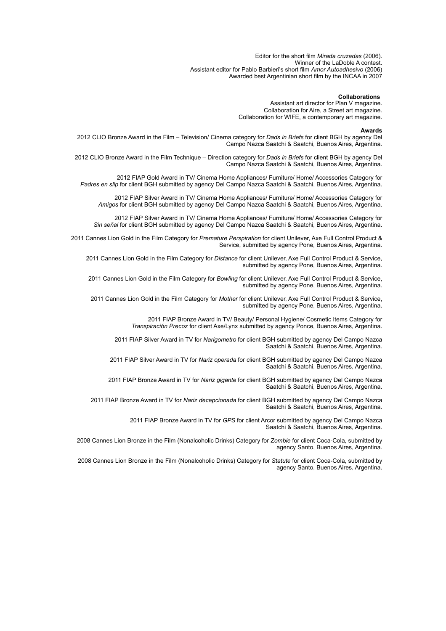Editor for the short film *Mirada cruzadas* (2006). Winner of the LaDoble A contest. Assistant editor for Pablo Barbieri's short film *Amor Autoadhesivo* (2006) Awarded best Argentinian short film by the INCAA in 2007

### **Collaborations**

Assistant art director for Plan V magazine. Collaboration for Aire, a Street art magazine. Collaboration for WIFE, a contemporary art magazine.

#### **Awards**

2012 CLIO Bronze Award in the Film – Television/ Cinema category for *Dads in Briefs* for client BGH by agency Del Campo Nazca Saatchi & Saatchi, Buenos Aires, Argentina.

2012 CLIO Bronze Award in the Film Technique – Direction category for *Dads in Briefs* for client BGH by agency Del Campo Nazca Saatchi & Saatchi, Buenos Aires, Argentina.

 2012 FIAP Gold Award in TV/ Cinema Home Appliances/ Furniture/ Home/ Accessories Category for *Padres en slip* for client BGH submitted by agency Del Campo Nazca Saatchi & Saatchi, Buenos Aires, Argentina.

2012 FIAP Silver Award in TV/ Cinema Home Appliances/ Furniture/ Home/ Accessories Category for *Amigos* for client BGH submitted by agency Del Campo Nazca Saatchi & Saatchi, Buenos Aires, Argentina.

2012 FIAP Silver Award in TV/ Cinema Home Appliances/ Furniture/ Home/ Accessories Category for *Sin señal* for client BGH submitted by agency Del Campo Nazca Saatchi & Saatchi, Buenos Aires, Argentina.

2011 Cannes Lion Gold in the Film Category for *Premature Perspiration* for client Unilever, Axe Full Control Product & Service, submitted by agency Pone, Buenos Aires, Argentina.

2011 Cannes Lion Gold in the Film Category for *Distance* for client Unilever, Axe Full Control Product & Service, submitted by agency Pone, Buenos Aires, Argentina.

2011 Cannes Lion Gold in the Film Category for *Bowling* for client Unilever, Axe Full Control Product & Service, submitted by agency Pone, Buenos Aires, Argentina.

2011 Cannes Lion Gold in the Film Category for *Mother* for client Unilever, Axe Full Control Product & Service, submitted by agency Pone, Buenos Aires, Argentina.

> 2011 FIAP Bronze Award in TV/ Beauty/ Personal Hygiene/ Cosmetic Items Category for *Transpiración Precoz* for client Axe/Lynx submitted by agency Ponce, Buenos Aires, Argentina.

2011 FIAP Silver Award in TV for *Narigometro* for client BGH submitted by agency Del Campo Nazca Saatchi & Saatchi, Buenos Aires, Argentina.

2011 FIAP Silver Award in TV for *Nariz operada* for client BGH submitted by agency Del Campo Nazca Saatchi & Saatchi, Buenos Aires, Argentina.

2011 FIAP Bronze Award in TV for *Nariz gigante* for client BGH submitted by agency Del Campo Nazca Saatchi & Saatchi, Buenos Aires, Argentina.

2011 FIAP Bronze Award in TV for *Nariz decepcionada* for client BGH submitted by agency Del Campo Nazca Saatchi & Saatchi, Buenos Aires, Argentina.

> 2011 FIAP Bronze Award in TV for *GPS* for client Arcor submitted by agency Del Campo Nazca Saatchi & Saatchi, Buenos Aires, Argentina.

2008 Cannes Lion Bronze in the Film (Nonalcoholic Drinks) Category for *Zombie* for client Coca-Cola, submitted by agency Santo, Buenos Aires, Argentina.

2008 Cannes Lion Bronze in the Film (Nonalcoholic Drinks) Category for *Statute* for client Coca-Cola, submitted by agency Santo, Buenos Aires, Argentina.